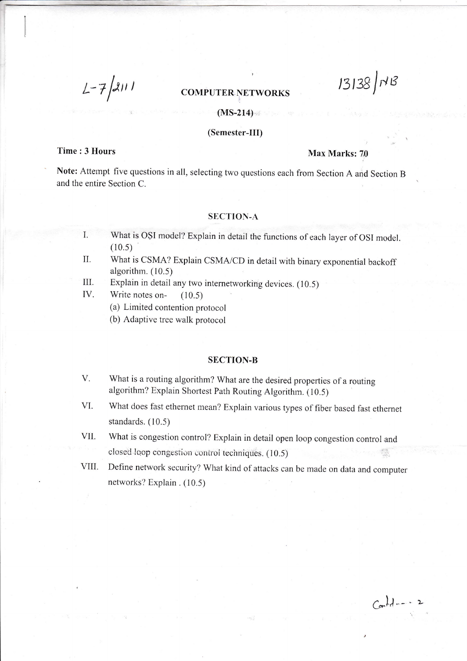$L - 7/2111$ 

#### COMPUTER NETWORKS

#### $(MS-214)$

#### (Semester-III)

## Time : 3 Hours Max Marks: 70

 $13138$   $N8$ 

Note: Attempt five questions in all, selecting two questions each from Section A and Section B and the entire Section C.

#### SECTION-A

- What is OSI model? Explain in detail the functions of each layer of OSI model.  $(10.5)$ I.
- What is CSMA? Explain CSMA/CD in detail with binary exponential backoff algorithm.  $(10.5)$ U.
- Explain in detail any two intemerworking devices. (10.5) III.

Write notes on- (10.5) IV.

- (a) Limited contention protocol
- (b) Adaptive tree walk protocol

#### SECTION-B

- What is a routing algorithm? What are the desired properties of a routing algorithm? Explain Shortest Path Routing Algorithm. (10.5) V.
- What does fast ethernet mean? Explain various types of fiber based fast ethernet standards. (10.5) VI.
- What is congestion control? Explain in detail open loop congestion control and closed loop congestion control techniques. (10.5) vll.
- VIII. Define network security? What kind of attacks can be made on data and computer networks? Explain .  $(10.5)$

 $C_{on}$ ld -- - 2